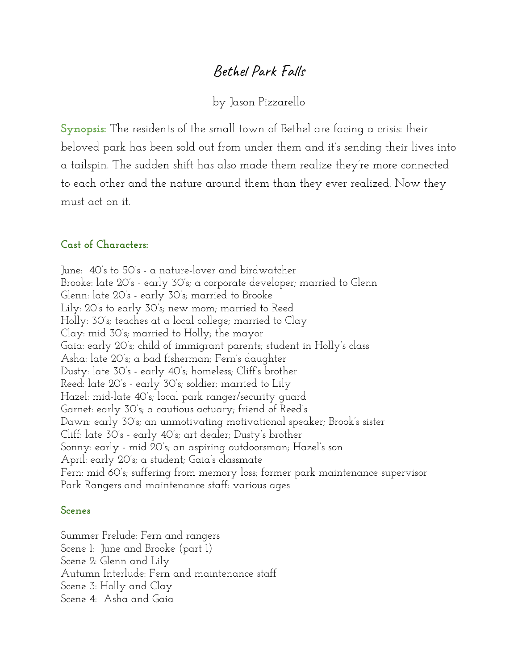# Bethel Park Falls

by Jason Pizzarello

**Synopsis:** The residents of the small town of Bethel are facing a crisis: their beloved park has been sold out from under them and it's sending their lives into a tailspin. The sudden shift has also made them realize they're more connected to each other and the nature around them than they ever realized. Now they must act on it.

# **Cast of Characters:**

June: 40's to 50's - a nature-lover and birdwatcher Brooke: late 20's - early 30's; a corporate developer; married to Glenn Glenn: late 20's - early 30's; married to Brooke Lily: 20's to early 30's; new mom; married to Reed Holly: 30's; teaches at a local college; married to Clay Clay: mid 30's; married to Holly; the mayor Gaia: early 20's; child of immigrant parents; student in Holly's class Asha: late 20's; a bad fisherman; Fern's daughter Dusty: late 30's - early 40's; homeless; Cliff's brother Reed: late 20's - early 30's; soldier; married to Lily Hazel: mid-late 40's; local park ranger/security guard Garnet: early 30's; a cautious actuary; friend of Reed's Dawn: early 30's; an unmotivating motivational speaker; Brook's sister Cliff: late 30's - early 40's; art dealer; Dusty's brother Sonny: early - mid 20's; an aspiring outdoorsman; Hazel's son April: early 20's; a student; Gaia's classmate Fern: mid 60's; suffering from memory loss; former park maintenance supervisor Park Rangers and maintenance staff: various ages

#### **Scenes**

Summer Prelude: Fern and rangers Scene 1: June and Brooke (part 1) Scene 2: Glenn and Lily Autumn Interlude: Fern and maintenance staff Scene 3: Holly and Clay Scene 4: Asha and Gaia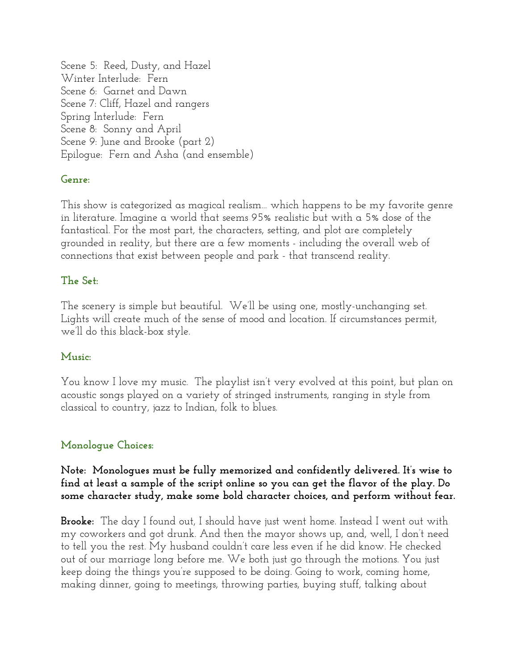Scene 5: Reed, Dusty, and Hazel Winter Interlude: Fern Scene 6: Garnet and Dawn Scene 7: Cliff, Hazel and rangers Spring Interlude: Fern Scene 8: Sonny and April Scene 9: June and Brooke (part 2) Epilogue: Fern and Asha (and ensemble)

# **Genre:**

This show is categorized as magical realism… which happens to be my favorite genre in literature. Imagine a world that seems 95% realistic but with a 5% dose of the fantastical. For the most part, the characters, setting, and plot are completely grounded in reality, but there are a few moments - including the overall web of connections that exist between people and park - that transcend reality.

# **The Set:**

The scenery is simple but beautiful. We'll be using one, mostly-unchanging set. Lights will create much of the sense of mood and location. If circumstances permit, we'll do this black-box style.

# **Music:**

You know I love my music. The playlist isn't very evolved at this point, but plan on acoustic songs played on a variety of stringed instruments, ranging in style from classical to country, jazz to Indian, folk to blues.

# **Monologue Choices:**

### **Note: Monologues must be fully memorized and confidently delivered. It's wise to find at least a sample of the script online so you can get the flavor of the play. Do some character study, make some bold character choices, and perform without fear.**

**Brooke:** The day I found out, I should have just went home. Instead I went out with my coworkers and got drunk. And then the mayor shows up, and, well, I don't need to tell you the rest. My husband couldn't care less even if he did know. He checked out of our marriage long before me. We both just go through the motions. You just keep doing the things you're supposed to be doing. Going to work, coming home, making dinner, going to meetings, throwing parties, buying stuff, talking about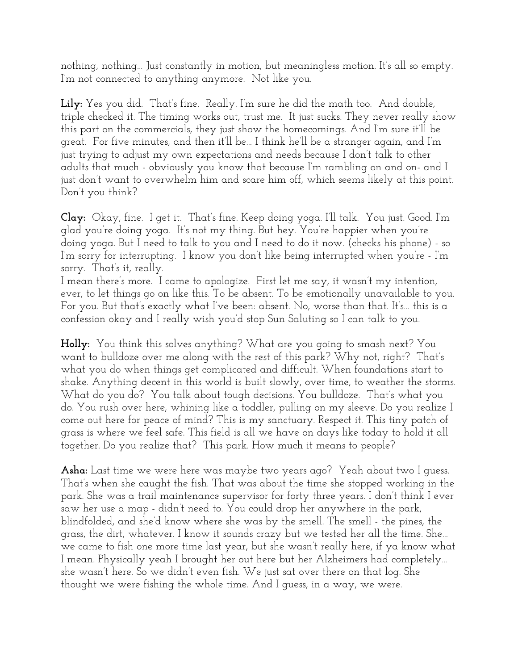nothing, nothing… Just constantly in motion, but meaningless motion. It's all so empty. I'm not connected to anything anymore. Not like you.

**Lily:** Yes you did. That's fine. Really. I'm sure he did the math too. And double, triple checked it. The timing works out, trust me. It just sucks. They never really show this part on the commercials, they just show the homecomings. And I'm sure it'll be great. For five minutes, and then it'll be… I think he'll be a stranger again, and I'm just trying to adjust my own expectations and needs because I don't talk to other adults that much - obviously you know that because I'm rambling on and on- and I just don't want to overwhelm him and scare him off, which seems likely at this point. Don't you think?

**Clay:** Okay, fine. I get it. That's fine. Keep doing yoga. I'll talk. You just. Good. I'm glad you're doing yoga. It's not my thing. But hey. You're happier when you're doing yoga. But I need to talk to you and I need to do it now. (checks his phone) - so I'm sorry for interrupting. I know you don't like being interrupted when you're - I'm sorry. That's it, really.

I mean there's more. I came to apologize. First let me say, it wasn't my intention, ever, to let things go on like this. To be absent. To be emotionally unavailable to you. For you. But that's exactly what I've been: absent. No, worse than that. It's… this is a confession okay and I really wish you'd stop Sun Saluting so I can talk to you.

**Holly:** You think this solves anything? What are you going to smash next? You want to bulldoze over me along with the rest of this park? Why not, right? That's what you do when things get complicated and difficult. When foundations start to shake. Anything decent in this world is built slowly, over time, to weather the storms. What do you do? You talk about tough decisions. You bulldoze. That's what you do. You rush over here, whining like a toddler, pulling on my sleeve. Do you realize I come out here for peace of mind? This is my sanctuary. Respect it. This tiny patch of grass is where we feel safe. This field is all we have on days like today to hold it all together. Do you realize that? This park. How much it means to people?

**Asha:** Last time we were here was maybe two years ago? Yeah about two I guess. That's when she caught the fish. That was about the time she stopped working in the park. She was a trail maintenance supervisor for forty three years. I don't think I ever saw her use a map - didn't need to. You could drop her anywhere in the park, blindfolded, and she'd know where she was by the smell. The smell - the pines, the grass, the dirt, whatever. I know it sounds crazy but we tested her all the time. She… we came to fish one more time last year, but she wasn't really here, if ya know what I mean. Physically yeah I brought her out here but her Alzheimers had completely… she wasn't here. So we didn't even fish. We just sat over there on that log. She thought we were fishing the whole time. And I guess, in a way, we were.